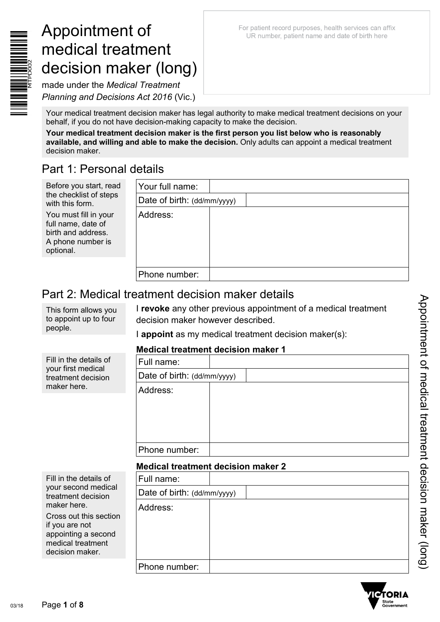For patient record purposes, health services can affix UR number, patient name and date of birth here

made under the *Medical Treatment Planning and Decisions Act 2016* (Vic.)

Your medical treatment decision maker has legal authority to make medical treatment decisions on your behalf, if you do not have decision-making capacity to make the decision.

**Your medical treatment decision maker is the first person you list below who is reasonably available, and willing and able to make the decision.** Only adults can appoint a medical treatment decision maker.

## Part 1: Personal details

| Before you start, read                                                                              | Your full name:             |  |
|-----------------------------------------------------------------------------------------------------|-----------------------------|--|
| the checklist of steps<br>with this form.                                                           | Date of birth: (dd/mm/yyyy) |  |
| You must fill in your<br>full name, date of<br>birth and address.<br>A phone number is<br>optional. | Address:                    |  |
|                                                                                                     | Phone number:               |  |

## Part 2: Medical treatment decision maker details

This form allows you to appoint up to four people.

I **revoke** any other previous appointment of a medical treatment decision maker however described.

I **appoint** as my medical treatment decision maker(s):

## **Medical treatment decision maker 1**

|                                                                                   |                             | MCGICGI UCGUNCHI GCCIJIVII MARCI I |
|-----------------------------------------------------------------------------------|-----------------------------|------------------------------------|
| Fill in the details of<br>your first medical<br>treatment decision<br>maker here. | Full name:                  |                                    |
|                                                                                   | Date of birth: (dd/mm/yyyy) |                                    |
|                                                                                   | Address:                    |                                    |
|                                                                                   | Phone number:               |                                    |
|                                                                                   |                             | .                                  |

### **Medical treatment decision maker 2**

| Fill in the details of<br>your second medical<br>treatment decision<br>maker here.                      | Full name:                  |  |
|---------------------------------------------------------------------------------------------------------|-----------------------------|--|
|                                                                                                         | Date of birth: (dd/mm/yyyy) |  |
|                                                                                                         | Address:                    |  |
| Cross out this section<br>if you are not<br>appointing a second<br>medical treatment<br>decision maker. |                             |  |
|                                                                                                         | Phone number:               |  |

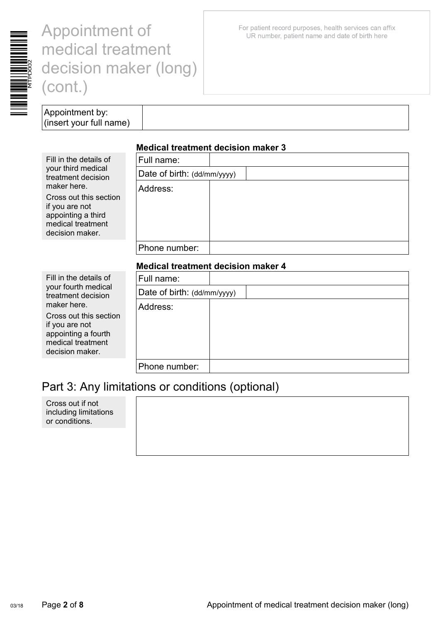

For patient record purposes, health services can affix UR number, patient name and date of birth here

Appointment by: (insert your full name)

### **Medical treatment decision maker 3**

| Fill in the details of                                                                                 | Full name:                  |  |
|--------------------------------------------------------------------------------------------------------|-----------------------------|--|
| your third medical<br>treatment decision                                                               | Date of birth: (dd/mm/yyyy) |  |
| maker here.                                                                                            | Address:                    |  |
| Cross out this section<br>if you are not<br>appointing a third<br>medical treatment<br>decision maker. |                             |  |
|                                                                                                        | Phone number:               |  |
|                                                                                                        |                             |  |

#### **Medical treatment decision maker 4**

| Fill in the details of                                                                                  | Full name:                  |  |
|---------------------------------------------------------------------------------------------------------|-----------------------------|--|
| your fourth medical<br>treatment decision                                                               | Date of birth: (dd/mm/yyyy) |  |
| maker here.                                                                                             | Address:                    |  |
| Cross out this section<br>if you are not<br>appointing a fourth<br>medical treatment<br>decision maker. |                             |  |
|                                                                                                         | Phone number:               |  |

## Part 3: Any limitations or conditions (optional)

Cross out if not including limitations or conditions.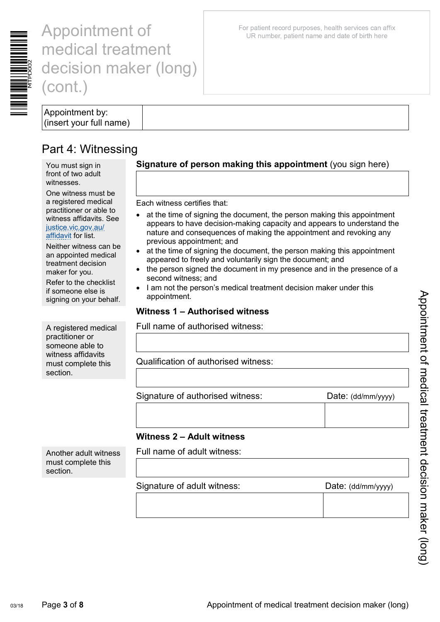

Appointment by: (insert your full name)

## Part 4: Witnessing

You must sign in front of two adult witnesses.

One witness must be a registered medical practitioner or able to witness affidavits. See [justice.vic.gov.au/](http://www.justice.vic.gov.au/affidavit)  [affidavit](http://www.justice.vic.gov.au/affidavit) for list.

Neither witness can be an appointed medical treatment decision maker for you.

Refer to the checklist if someone else is signing on your behalf.

A registered medical practitioner or someone able to witness affidavits must complete this section.

Another adult witness must complete this

section.

**Signature of person making this appointment** (you sign here)

Each witness certifies that:

- at the time of signing the document, the person making this appointment appears to have decision-making capacity and appears to understand the nature and consequences of making the appointment and revoking any previous appointment; and
- at the time of signing the document, the person making this appointment appeared to freely and voluntarily sign the document; and
- the person signed the document in my presence and in the presence of a second witness; and
- I am not the person's medical treatment decision maker under this appointment.

### **Witness 1 – Authorised witness**

Full name of authorised witness:

Qualification of authorised witness:

Signature of authorised witness: Date: (dd/mm/yyyy)

### **Witness 2 – Adult witness**

Full name of adult witness:

#### Signature of adult witness: Date: (dd/mm/yyyy)

For patient record purposes, health services can affix UR number, patient name and date of birth here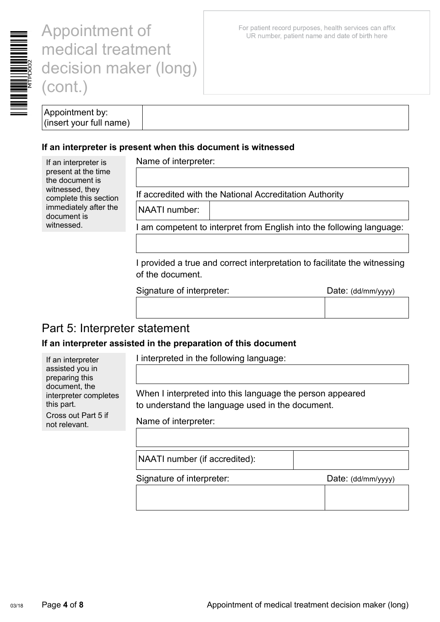

For patient record purposes, health services can affix UR number, patient name and date of birth here

| Appointment by:         |
|-------------------------|
| (insert your full name) |

#### **If an interpreter is present when this document is witnessed**

If an interpreter is present at the time the document is witnessed, they complete this section immediately after the document is witnessed.

If an interpreter assisted you in preparing this document, the

this part.

interpreter completes

Cross out Part 5 if not relevant.

Name of interpreter:

If accredited with the National Accreditation Authority

NAATI number:

I am competent to interpret from English into the following language:

I provided a true and correct interpretation to facilitate the witnessing of the document.

Signature of interpreter: Date: (dd/mm/yyyy)

## Part 5: Interpreter statement

### **If an interpreter assisted in the preparation of this document**

I interpreted in the following language:

When I interpreted into this language the person appeared to understand the language used in the document.

Name of interpreter:

NAATI number (if accredited):

Signature of interpreter: Date: (dd/mm/yyyy)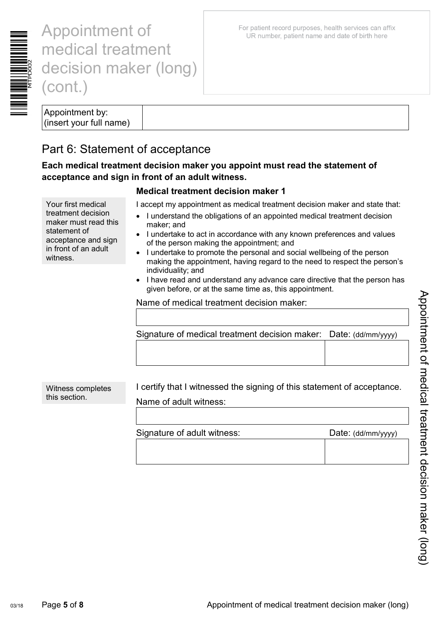

Appointment by: (insert your full name)

## Part 6: Statement of acceptance

**Each medical treatment decision maker you appoint must read the statement of acceptance and sign in front of an adult witness.** 

### **Medical treatment decision maker 1**

I accept my appointment as medical treatment decision maker and state that:

- I understand the obligations of an appointed medical treatment decision maker; and
- I undertake to act in accordance with any known preferences and values of the person making the appointment; and
- I undertake to promote the personal and social wellbeing of the person making the appointment, having regard to the need to respect the person's individuality; and
- I have read and understand any advance care directive that the person has given before, or at the same time as, this appointment.

Name of medical treatment decision maker:

| Signature of medical treatment decision maker: Date: (dd/mm/yyyy) |  |
|-------------------------------------------------------------------|--|
|                                                                   |  |

Witness completes this section.

I certify that I witnessed the signing of this statement of acceptance. Name of adult witness:

| Signature of adult witness: | Date: (dd/mm/yyyy) |
|-----------------------------|--------------------|
|                             |                    |

For patient record purposes, health services can affix UR number, patient name and date of birth here

Your first medical treatment decision maker must read this statement of acceptance and sign in front of an adult witness.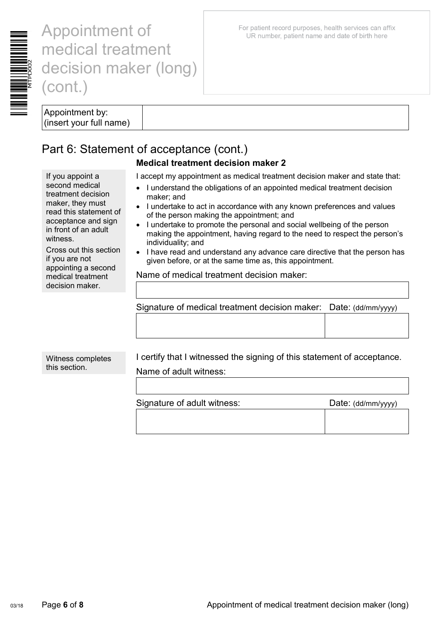

For patient record purposes, health services can affix UR number, patient name and date of birth here

Appointment by: (insert your full name)

If you appoint a second medical treatment decision maker, they must read this statement of acceptance and sign in front of an adult

witness.

if you are not

## Part 6: Statement of acceptance (cont.)

### **Medical treatment decision maker 2**

I accept my appointment as medical treatment decision maker and state that:

- I understand the obligations of an appointed medical treatment decision maker; and
- I undertake to act in accordance with any known preferences and values of the person making the appointment; and
- I undertake to promote the personal and social wellbeing of the person making the appointment, having regard to the need to respect the person's individuality; and
- I have read and understand any advance care directive that the person has given before, or at the same time as, this appointment.

Name of medical treatment decision maker:

| Signature of medical treatment decision maker: Date: (dd/mm/yyyy) |  |
|-------------------------------------------------------------------|--|

Witness completes this section.

Cross out this section

appointing a second medical treatment decision maker.

> I certify that I witnessed the signing of this statement of acceptance. Name of adult witness:

Signature of adult witness: Date: (dd/mm/yyyy)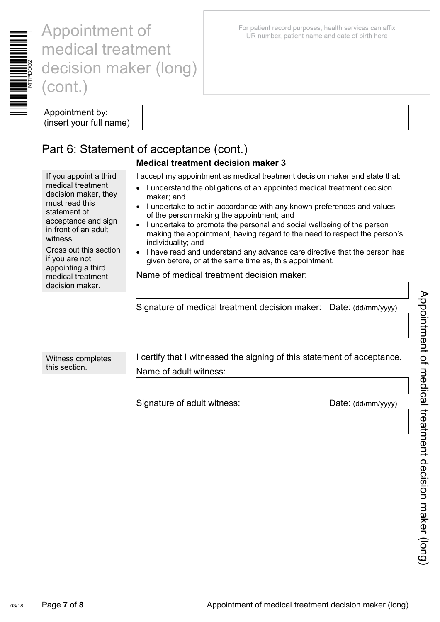

For patient record purposes, health services can affix UR number, patient name and date of birth here

Appointment by: (insert your full name)

If you appoint a third medical treatment decision maker, they

acceptance and sign in front of an adult

Cross out this section

must read this statement of

if you are not appointing a third medical treatment decision maker.

witness.

## Part 6: Statement of acceptance (cont.)

## **Medical treatment decision maker 3**

I accept my appointment as medical treatment decision maker and state that:

- I understand the obligations of an appointed medical treatment decision maker; and
- I undertake to act in accordance with any known preferences and values of the person making the appointment; and
- I undertake to promote the personal and social wellbeing of the person making the appointment, having regard to the need to respect the person's individuality; and
- I have read and understand any advance care directive that the person has given before, or at the same time as, this appointment.

Name of medical treatment decision maker:

| Signature of medical treatment decision maker: Date: (dd/mm/yyyy) |  |
|-------------------------------------------------------------------|--|
|                                                                   |  |

Witness completes this section.

I certify that I witnessed the signing of this statement of acceptance. Name of adult witness:

Signature of adult witness: Date: (dd/mm/yyyy)